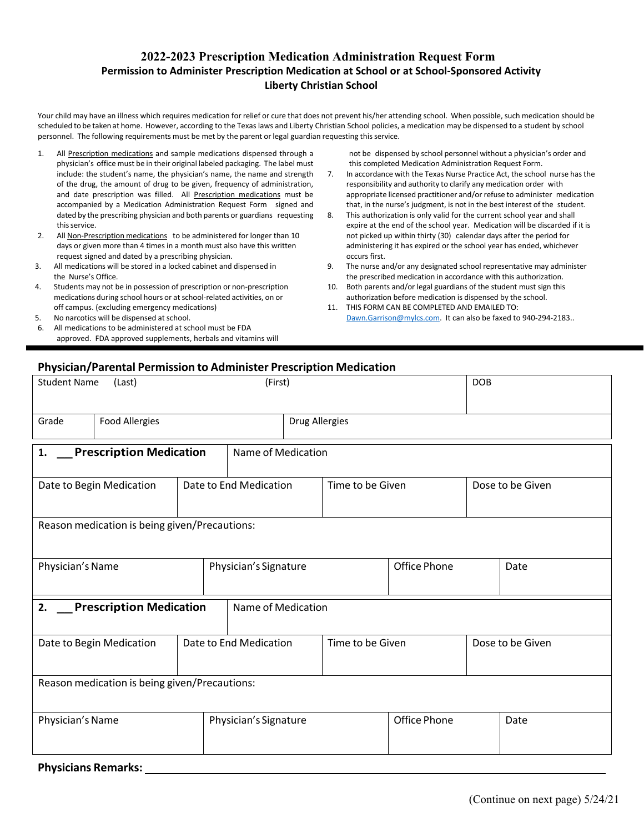## **2022-2023 Prescription Medication Administration Request Form Permission to Administer Prescription Medication at School or at School‐Sponsored Activity Liberty Christian School**

Your child may have an illness which requires medication for relief or cure that does not prevent his/her attending school. When possible, such medication should be scheduled to be taken at home. However, according to the Texas laws and Liberty Christian School policies, a medication may be dispensed to a student by school personnel. The following requirements must be met by the parent or legal guardian requesting this service.

- 1. All Prescription medications and sample medications dispensed through a physician's office must be in their original labeled packaging. The label must include: the student's name, the physician's name, the name and strength of the drug, the amount of drug to be given, frequency of administration, and date prescription was filled. All Prescription medications must be accompanied by a Medication Administration Request Form signed and dated by the prescribing physician and both parents or guardians requesting this service.
- 2. All Non-Prescription medications to be administered for longer than 10 days or given more than 4 times in a month must also have this written request signed and dated by a prescribing physician.
- 3. All medications will be stored in a locked cabinet and dispensed in the Nurse's Office.
- 4. Students may not be in possession of prescription or non‐prescription medications during school hours or at school‐related activities, on or off campus. (excluding emergency medications)
- 5. No narcotics will be dispensed at school.
- All medications to be administered at school must be FDA approved. FDA approved supplements, herbals and vitamins will

not be dispensed by school personnel without a physician's order and this completed Medication Administration Request Form.

- 7. In accordance with the Texas Nurse Practice Act, the school nurse has the responsibility and authority to clarify any medication order with appropriate licensed practitioner and/or refuse to administer medication that, in the nurse's judgment, is not in the best interest of the student.
- 8. This authorization is only valid for the current school year and shall expire at the end of the school year. Medication will be discarded if it is not picked up within thirty (30) calendar days after the period for administering it has expired or the school year has ended, whichever occurs first.
- 9. The nurse and/or any designated school representative may administer the prescribed medication in accordance with this authorization.
- 10. Both parents and/or legal guardians of the student must sign this authorization before medication is dispensed by the school.
- 11. THIS FORM CAN BE COMPLETED AND EMAILED TO: Dawn.Garrison@mylcs.com. It can also be faxed to 940-294-2183..

## **Physician/Parental Permission to Administer Prescription Medication**

| <b>Student Name</b><br>(First)<br>(Last)      |                          |                        |                        |                       |                     |              |                  | <b>DOB</b> |  |
|-----------------------------------------------|--------------------------|------------------------|------------------------|-----------------------|---------------------|--------------|------------------|------------|--|
| Grade                                         | <b>Food Allergies</b>    |                        |                        | <b>Drug Allergies</b> |                     |              |                  |            |  |
| <b>Prescription Medication</b><br>1.          |                          |                        |                        | Name of Medication    |                     |              |                  |            |  |
| Date to Begin Medication                      |                          |                        | Date to End Medication |                       | Time to be Given    |              | Dose to be Given |            |  |
| Reason medication is being given/Precautions: |                          |                        |                        |                       |                     |              |                  |            |  |
| Physician's Name                              |                          |                        | Physician's Signature  |                       |                     | Office Phone |                  | Date       |  |
| <b>Prescription Medication</b><br>2.          |                          |                        | Name of Medication     |                       |                     |              |                  |            |  |
|                                               | Date to Begin Medication | Date to End Medication |                        |                       | Time to be Given    |              | Dose to be Given |            |  |
| Reason medication is being given/Precautions: |                          |                        |                        |                       |                     |              |                  |            |  |
| Physician's Name                              |                          |                        | Physician's Signature  |                       | <b>Office Phone</b> |              | Date             |            |  |

**Physicians Remarks:**